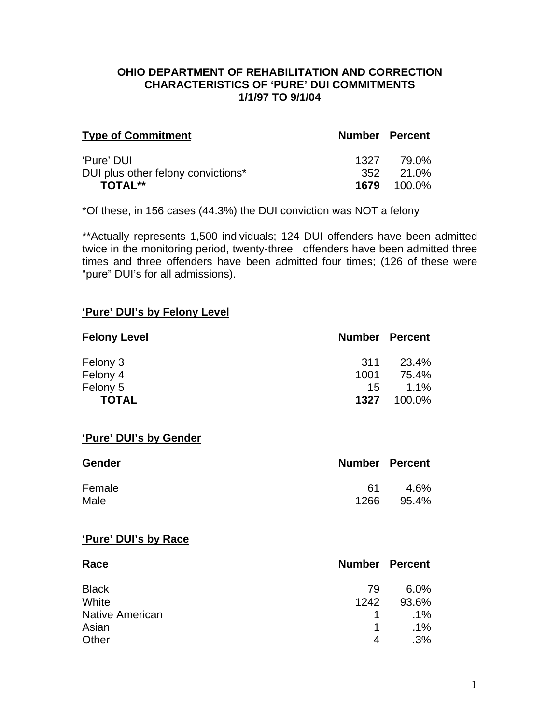### **OHIO DEPARTMENT OF REHABILITATION AND CORRECTION CHARACTERISTICS OF 'PURE' DUI COMMITMENTS 1/1/97 TO 9/1/04**

| <b>Type of Commitment</b>          | <b>Number Percent</b> |                    |
|------------------------------------|-----------------------|--------------------|
| 'Pure' DUI                         | 1327                  | 79.0%              |
| DUI plus other felony convictions* |                       | 352 21.0%          |
| <b>TOTAL**</b>                     |                       | <b>1679</b> 100.0% |

\*Of these, in 156 cases (44.3%) the DUI conviction was NOT a felony

\*\*Actually represents 1,500 individuals; 124 DUI offenders have been admitted twice in the monitoring period, twenty-three offenders have been admitted three times and three offenders have been admitted four times; (126 of these were "pure" DUI's for all admissions).

#### **'Pure' DUI's by Felony Level**

| <b>Felony Level</b> | <b>Number Percent</b> |         |
|---------------------|-----------------------|---------|
| Felony 3            | -311                  | 23.4%   |
| Felony 4            | 1001                  | 75.4%   |
| Felony 5            | 15                    | $1.1\%$ |
| <b>TOTAL</b>        | 1327                  | 100.0%  |

#### **'Pure' DUI's by Gender**

| <b>Gender</b> | <b>Number Percent</b> |       |
|---------------|-----------------------|-------|
| Female        | ี 61                  | 4.6%  |
| Male          | 1266                  | 95.4% |

#### **'Pure' DUI's by Race**

| Race                   |             | <b>Number Percent</b> |
|------------------------|-------------|-----------------------|
| <b>Black</b>           | 79          | $6.0\%$               |
| White                  | 1242        | 93.6%                 |
| <b>Native American</b> | $\mathbf 1$ | $.1\%$                |
| Asian                  | 1           | $.1\%$                |
| Other                  | 4           | $.3\%$                |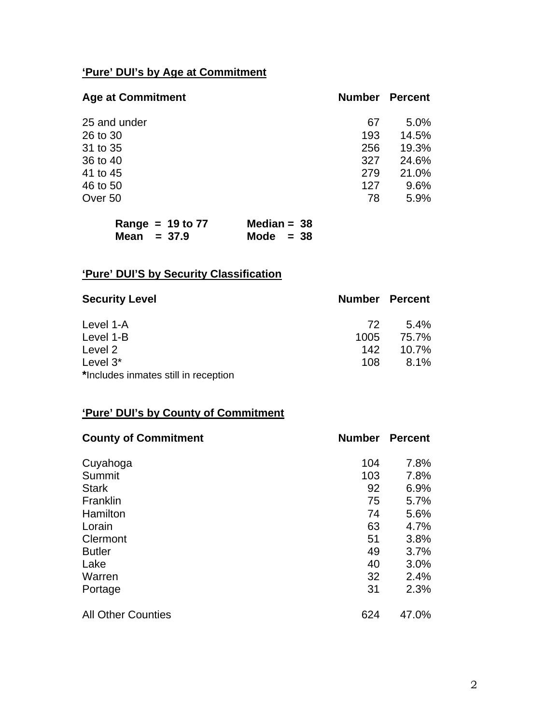# **'Pure' DUI's by Age at Commitment**

| <b>Age at Commitment</b> | <b>Number Percent</b> |       |
|--------------------------|-----------------------|-------|
| 25 and under             | 67                    | 5.0%  |
| 26 to 30                 | 193                   | 14.5% |
| 31 to 35                 | 256                   | 19.3% |
| 36 to 40                 | 327                   | 24.6% |
| 41 to 45                 | 279                   | 21.0% |
| 46 to 50                 | 127                   | 9.6%  |
| Over 50                  | 78                    | 5.9%  |

| Range = $19$ to $77$ | Median = $38$ |
|----------------------|---------------|
| Mean $= 37.9$        | Mode $= 38$   |

# **'Pure' DUI'S by Security Classification**

| <b>Security Level</b>                |      | <b>Number Percent</b> |
|--------------------------------------|------|-----------------------|
| Level 1-A                            | 72.  | $5.4\%$               |
| Level 1-B                            | 1005 | 75.7%                 |
| Level 2                              | 142  | 10.7%                 |
| Level $3^*$                          | 108  | $8.1\%$               |
| *Includes inmates still in reception |      |                       |

## **'Pure' DUI's by County of Commitment**

| <b>County of Commitment</b> | <b>Number</b> | <b>Percent</b> |
|-----------------------------|---------------|----------------|
| Cuyahoga                    | 104           | 7.8%           |
| Summit                      | 103           | 7.8%           |
| <b>Stark</b>                | 92            | 6.9%           |
| Franklin                    | 75            | 5.7%           |
| Hamilton                    | 74            | 5.6%           |
| Lorain                      | 63            | 4.7%           |
| Clermont                    | 51            | 3.8%           |
| <b>Butler</b>               | 49            | 3.7%           |
| Lake                        | 40            | 3.0%           |
| Warren                      | 32            | 2.4%           |
| Portage                     | 31            | 2.3%           |
| <b>All Other Counties</b>   | 624           | 47.0%          |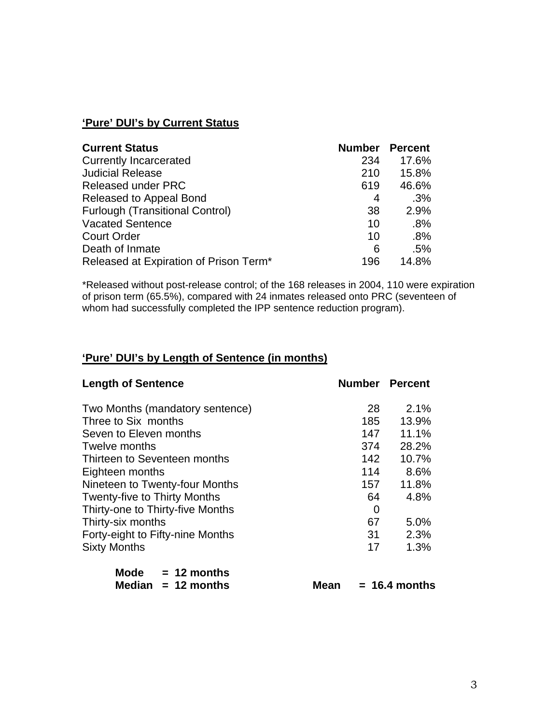# **'Pure' DUI's by Current Status**

| <b>Current Status</b>                  | <b>Number</b> | <b>Percent</b> |
|----------------------------------------|---------------|----------------|
| <b>Currently Incarcerated</b>          | 234           | 17.6%          |
| <b>Judicial Release</b>                | 210           | 15.8%          |
| <b>Released under PRC</b>              | 619           | 46.6%          |
| Released to Appeal Bond                | 4             | .3%            |
| <b>Furlough (Transitional Control)</b> | 38            | 2.9%           |
| <b>Vacated Sentence</b>                | 10            | .8%            |
| <b>Court Order</b>                     | 10            | .8%            |
| Death of Inmate                        | 6             | .5%            |
| Released at Expiration of Prison Term* | 196           | 14.8%          |

\*Released without post-release control; of the 168 releases in 2004, 110 were expiration of prison term (65.5%), compared with 24 inmates released onto PRC (seventeen of whom had successfully completed the IPP sentence reduction program).

## **'Pure' DUI's by Length of Sentence (in months)**

| <b>Length of Sentence</b>           |     | <b>Number Percent</b> |
|-------------------------------------|-----|-----------------------|
| Two Months (mandatory sentence)     | 28  | $2.1\%$               |
| Three to Six months                 | 185 | 13.9%                 |
| Seven to Eleven months              | 147 | 11.1%                 |
| Twelve months                       | 374 | 28.2%                 |
| Thirteen to Seventeen months        | 142 | 10.7%                 |
| Eighteen months                     | 114 | 8.6%                  |
| Nineteen to Twenty-four Months      | 157 | 11.8%                 |
| <b>Twenty-five to Thirty Months</b> | 64  | 4.8%                  |
| Thirty-one to Thirty-five Months    | 0   |                       |
| Thirty-six months                   | 67  | 5.0%                  |
| Forty-eight to Fifty-nine Months    | 31  | 2.3%                  |
| <b>Sixty Months</b>                 | 17  | 1.3%                  |
| Mode $= 12$ months                  |     |                       |
| Median $= 12$ months<br>Mean        |     | $= 16.4$ months       |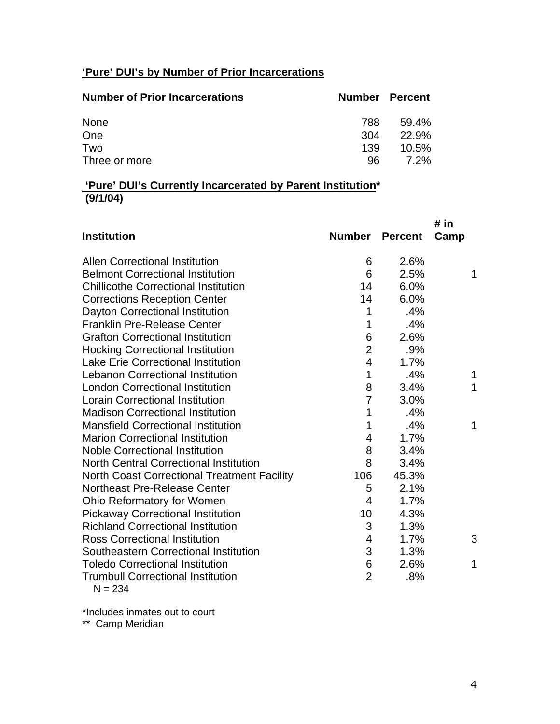# **'Pure' DUI's by Number of Prior Incarcerations**

| <b>Number of Prior Incarcerations</b> | <b>Number Percent</b> |       |
|---------------------------------------|-----------------------|-------|
| None                                  | 788                   | 59.4% |
| One                                   | 304                   | 22.9% |
| Two                                   | 139                   | 10.5% |
| Three or more                         | 96                    | 7.2%  |

### **'Pure' DUI's Currently Incarcerated by Parent Institution\* (9/1/04)**

|                                               |                         |                | # in |
|-----------------------------------------------|-------------------------|----------------|------|
| <b>Institution</b>                            | <b>Number</b>           | <b>Percent</b> | Camp |
| <b>Allen Correctional Institution</b>         | 6                       | 2.6%           |      |
| <b>Belmont Correctional Institution</b>       | 6                       | 2.5%           | 1    |
| <b>Chillicothe Correctional Institution</b>   | 14                      | 6.0%           |      |
| <b>Corrections Reception Center</b>           | 14                      | 6.0%           |      |
| Dayton Correctional Institution               | 1                       | .4%            |      |
| <b>Franklin Pre-Release Center</b>            | 1                       | .4%            |      |
| <b>Grafton Correctional Institution</b>       | 6                       | 2.6%           |      |
| <b>Hocking Correctional Institution</b>       | $\overline{2}$          | .9%            |      |
| <b>Lake Erie Correctional Institution</b>     | $\overline{\mathbf{4}}$ | 1.7%           |      |
| <b>Lebanon Correctional Institution</b>       | 1                       | .4%            | 1    |
| <b>London Correctional Institution</b>        | 8                       | 3.4%           | 1    |
| <b>Lorain Correctional Institution</b>        | $\overline{7}$          | 3.0%           |      |
| <b>Madison Correctional Institution</b>       | 1                       | .4%            |      |
| <b>Mansfield Correctional Institution</b>     | 1                       | .4%            | 1    |
| <b>Marion Correctional Institution</b>        | 4                       | 1.7%           |      |
| <b>Noble Correctional Institution</b>         | 8                       | 3.4%           |      |
| <b>North Central Correctional Institution</b> | 8                       | 3.4%           |      |
| North Coast Correctional Treatment Facility   | 106                     | 45.3%          |      |
| <b>Northeast Pre-Release Center</b>           | 5                       | 2.1%           |      |
| Ohio Reformatory for Women                    | 4                       | 1.7%           |      |
| <b>Pickaway Correctional Institution</b>      | 10                      | 4.3%           |      |
| <b>Richland Correctional Institution</b>      | 3                       | 1.3%           |      |
| <b>Ross Correctional Institution</b>          | 4                       | 1.7%           | 3    |
| Southeastern Correctional Institution         | 3                       | 1.3%           |      |
| <b>Toledo Correctional Institution</b>        | 6                       | 2.6%           | 1    |
| <b>Trumbull Correctional Institution</b>      | $\overline{2}$          | .8%            |      |
| $N = 234$                                     |                         |                |      |

\*Includes inmates out to court

\*\* Camp Meridian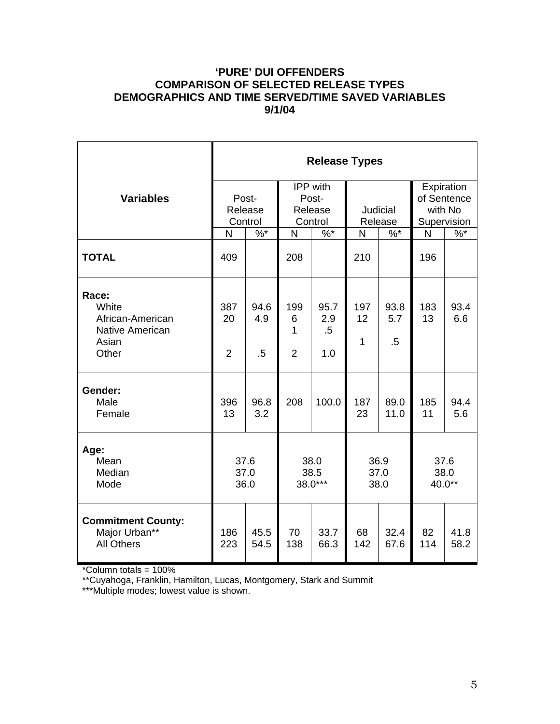## **'PURE' DUI OFFENDERS COMPARISON OF SELECTED RELEASE TYPES DEMOGRAPHICS AND TIME SERVED/TIME SAVED VARIABLES 9/1/04**

|                                                                                | <b>Release Types</b>        |                       |                                         |                          |                            |                       |                                                     |              |  |
|--------------------------------------------------------------------------------|-----------------------------|-----------------------|-----------------------------------------|--------------------------|----------------------------|-----------------------|-----------------------------------------------------|--------------|--|
| <b>Variables</b>                                                               | Post-<br>Release<br>Control |                       | IPP with<br>Post-<br>Release<br>Control |                          | <b>Judicial</b><br>Release |                       | Expiration<br>of Sentence<br>with No<br>Supervision |              |  |
|                                                                                | N                           | $\%$ *                | N                                       | $\%$ *                   | N                          | $\%$ *                | N                                                   | $\%$ *       |  |
| <b>TOTAL</b>                                                                   | 409                         |                       | 208                                     |                          | 210                        |                       | 196                                                 |              |  |
| Race:<br>White<br>African-American<br><b>Native American</b><br>Asian<br>Other | 387<br>20<br>$\overline{2}$ | 94.6<br>4.9<br>$.5\,$ | 199<br>6<br>1<br>$\overline{2}$         | 95.7<br>2.9<br>.5<br>1.0 | 197<br>12<br>$\mathbf{1}$  | 93.8<br>5.7<br>$.5\,$ | 183<br>13                                           | 93.4<br>6.6  |  |
| Gender:<br>Male<br>Female                                                      | 396<br>13                   | 96.8<br>3.2           | 208                                     | 100.0                    | 187<br>23                  | 89.0<br>11.0          | 185<br>11                                           | 94.4<br>5.6  |  |
| Age:<br>Mean<br>Median<br>Mode                                                 | 37.6<br>37.0<br>36.0        |                       | 38.0<br>38.5<br>38.0***                 |                          | 36.9<br>37.0<br>38.0       |                       | 37.6<br>38.0<br>40.0**                              |              |  |
| <b>Commitment County:</b><br>Major Urban**<br><b>All Others</b>                | 186<br>223                  | 45.5<br>54.5          | 70<br>138                               | 33.7<br>66.3             | 68<br>142                  | 32.4<br>67.6          | 82<br>114                                           | 41.8<br>58.2 |  |

\*Column totals = 100%

\*\*Cuyahoga, Franklin, Hamilton, Lucas, Montgomery, Stark and Summit

\*\*\*Multiple modes; lowest value is shown.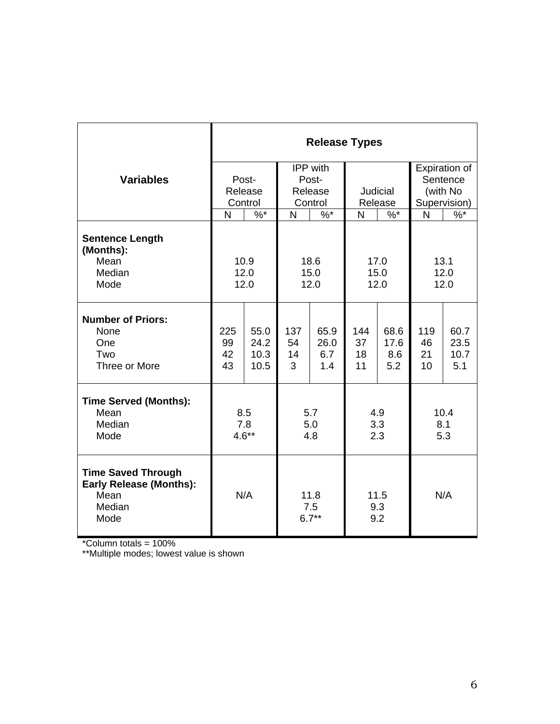|                                                                                       | <b>Release Types</b>        |              |                        |              |                    |              |               |              |
|---------------------------------------------------------------------------------------|-----------------------------|--------------|------------------------|--------------|--------------------|--------------|---------------|--------------|
|                                                                                       |                             |              | IPP with               |              |                    |              | Expiration of |              |
| <b>Variables</b>                                                                      | Post-<br>Release<br>Control |              | Post-                  |              |                    |              | Sentence      |              |
|                                                                                       |                             |              | Release                |              | Judicial           |              | (with No      |              |
|                                                                                       |                             |              | Control                |              | Release            |              | Supervision)  |              |
|                                                                                       | N                           | $\%$ *       | N                      | $%$ *        | N                  | $%^*$        | N             | $\%$         |
| <b>Sentence Length</b><br>(Months):<br>Mean                                           | 10.9                        |              | 18.6                   |              | 17.0               |              | 13.1          |              |
| Median                                                                                | 12.0                        |              | 15.0                   |              | 15.0               |              | 12.0          |              |
| Mode                                                                                  | 12.0                        |              | 12.0                   |              | 12.0               |              | 12.0          |              |
|                                                                                       |                             |              |                        |              |                    |              |               |              |
| <b>Number of Priors:</b>                                                              |                             |              |                        |              |                    |              |               |              |
| None<br>One                                                                           | 225<br>99                   | 55.0<br>24.2 | 137<br>54              | 65.9<br>26.0 | 144<br>37          | 68.6<br>17.6 | 119<br>46     | 60.7<br>23.5 |
| Two                                                                                   | 42                          | 10.3         | 14                     | 6.7          | 18                 | 8.6          | 21            | 10.7         |
| Three or More                                                                         | 43                          | 10.5         | 3                      | 1.4          | 11                 | 5.2          | 10            | 5.1          |
|                                                                                       |                             |              |                        |              |                    |              |               |              |
| <b>Time Served (Months):</b>                                                          |                             |              |                        |              |                    |              |               |              |
| Mean                                                                                  | 8.5                         |              | 5.7                    |              | 4.9                |              | 10.4          |              |
| Median                                                                                | 7.8                         |              | 5.0                    |              | 3.3                |              | 8.1           |              |
| Mode                                                                                  | $4.6**$                     |              | 4.8                    |              | 2.3                |              | 5.3           |              |
|                                                                                       |                             |              |                        |              |                    |              |               |              |
| <b>Time Saved Through</b><br><b>Early Release (Months):</b><br>Mean<br>Median<br>Mode | N/A                         |              | 11.8<br>7.5<br>$6.7**$ |              | 11.5<br>9.3<br>9.2 |              | N/A           |              |

\*Column totals = 100%

\*\*Multiple modes; lowest value is shown